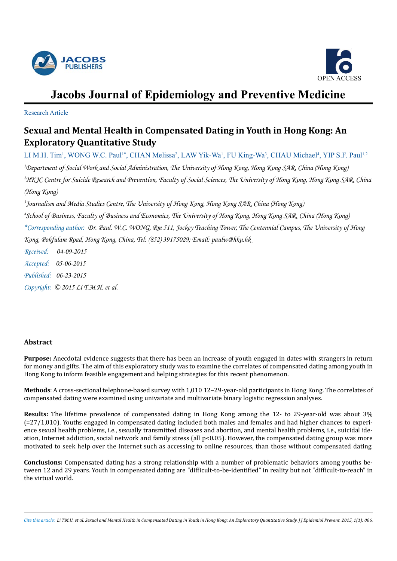



# **Jacobs Journal of Epidemiology and Preventive Medicine**

Research Article

# **Sexual and Mental Health in Compensated Dating in Youth in Hong Kong: An Exploratory Quantitative Study**

LI M.H. Tim<sup>1</sup>, WONG W.C. Paul<sup>1\*</sup>, CHAN Melissa<sup>2</sup>, LAW Yik-Wa<sup>1</sup>, FU King-Wa<sup>3</sup>, CHAU Michael<sup>4</sup>, YIP S.F. Paul<sup>1,2</sup> *1 Department of Social Work and Social Administration, The University of Hong Kong, Hong Kong SAR, China (Hong Kong) 2 HKJC Centre for Suicide Research and Prevention, Faculty of Social Sciences, The University of Hong Kong, Hong Kong SAR, China (Hong Kong)*

*3 Journalism and Media Studies Centre, The University of Hong Kong, Hong Kong SAR, China (Hong Kong) 4 School of Business, Faculty of Business and Economics, The University of Hong Kong, Hong Kong SAR, China (Hong Kong) \*Corresponding author: Dr. Paul. W.C. WONG, Rm 511, Jockey Teaching Tower, The Centennial Campus, The University of Hong Kong, Pokfulam Road, Hong Kong, China, Tel: (852) 39175029; Email: paulw@hku.hk*

*Received: 04-09-2015 Accepted: 05-06-2015 Published: 06-23-2015 Copyright: © 2015 Li T.M.H. et al.*

## **Abstract**

**Purpose:** Anecdotal evidence suggests that there has been an increase of youth engaged in dates with strangers in return for money and gifts. The aim of this exploratory study was to examine the correlates of compensated dating among youth in Hong Kong to inform feasible engagement and helping strategies for this recent phenomenon.

**Methods**: A cross-sectional telephone-based survey with 1,010 12–29-year-old participants in Hong Kong. The correlates of compensated dating were examined using univariate and multivariate binary logistic regression analyses.

**Results:** The lifetime prevalence of compensated dating in Hong Kong among the 12- to 29-year-old was about 3% (=27/1,010). Youths engaged in compensated dating included both males and females and had higher chances to experience sexual health problems, i.e., sexually transmitted diseases and abortion, and mental health problems, i.e., suicidal ideation, Internet addiction, social network and family stress (all p<0.05). However, the compensated dating group was more motivated to seek help over the Internet such as accessing to online resources, than those without compensated dating.

**Conclusions:** Compensated dating has a strong relationship with a number of problematic behaviors among youths between 12 and 29 years. Youth in compensated dating are "difficult-to-be-identified" in reality but not "difficult-to-reach" in the virtual world.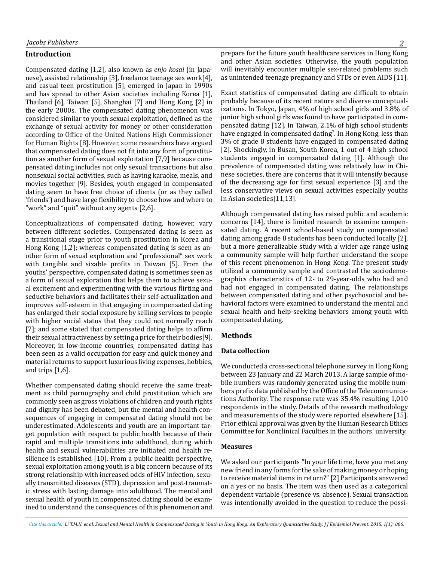#### **Introduction**

Compensated dating [1,2], also known as *enjo kosai* (in Japanese), assisted relationship [3], freelance teenage sex work[4], and casual teen prostitution [5], emerged in Japan in 1990s and has spread to other Asian societies including Korea [1], Thailand [6], Taiwan [5], Shanghai [7] and Hong Kong [2] in the early 2000s. The compensated dating phenomenon was considered similar to youth sexual exploitation, defined as the exchange of sexual activity for money or other consideration according to Office of the United Nations High Commissioner for Human Rights [8]. However, some researchers have argued that compensated dating does not fit into any form of prostitution as another form of sexual exploitation [7,9] because compensated dating includes not only sexual transactions but also nonsexual social activities, such as having karaoke, meals, and movies together [9]. Besides, youth engaged in compensated dating seem to have free choice of clients (or as they called 'friends') and have large flexibility to choose how and where to "work" and "quit" without any agents [2,6].

Conceptualizations of compensated dating, however, vary between different societies. Compensated dating is seen as a transitional stage prior to youth prostitution in Korea and Hong Kong [1,2]; whereas compensated dating is seen as another form of sexual exploration and "professional" sex work with tangible and sizable profits in Taiwan [5]. From the youths' perspective, compensated dating is sometimes seen as a form of sexual exploration that helps them to achieve sexual excitement and experimenting with the various flirting and seductive behaviors and facilitates their self-actualization and improves self-esteem in that engaging in compensated dating has enlarged their social exposure by selling services to people with higher social status that they could not normally reach [7]; and some stated that compensated dating helps to affirm their sexual attractiveness by setting a price for their bodies[9]. Moreover, in low-income countries, compensated dating has been seen as a valid occupation for easy and quick money and material returns to support luxurious living expenses, hobbies, and trips [1,6].

Whether compensated dating should receive the same treatment as child pornography and child prostitution which are commonly seen as gross violations of children and youth rights and dignity has been debated, but the mental and health consequences of engaging in compensated dating should not be underestimated. Adolescents and youth are an important target population with respect to public health because of their rapid and multiple transitions into adulthood, during which health and sexual vulnerabilities are initiated and health resilience is established [10]. From a public health perspective, sexual exploitation among youth is a big concern because of its strong relationship with increased odds of HIV infection, sexually transmitted diseases (STD), depression and post-traumatic stress with lasting damage into adulthood. The mental and sexual health of youth in compensated dating should be examined to understand the consequences of this phenomenon and prepare for the future youth healthcare services in Hong Kong and other Asian societies. Otherwise, the youth population will inevitably encounter multiple sex-related problems such as unintended teenage pregnancy and STDs or even AIDS [11].

Exact statistics of compensated dating are difficult to obtain probably because of its recent nature and diverse conceptualizations. In Tokyo, Japan, 4% of high school girls and 3.8% of junior high school girls was found to have participated in compensated dating [12]. In Taiwan, 2.1% of high school students have engaged in compensated dating7 . In Hong Kong, less than 3% of grade 8 students have engaged in compensated dating [2]. Shockingly, in Busan, South Korea, 1 out of 4 high school students engaged in compensated dating [1]. Although the prevalence of compensated dating was relatively low in Chinese societies, there are concerns that it will intensify because of the decreasing age for first sexual experience [3] and the less conservative views on sexual activities especially youths in Asian societies[11,13].

Although compensated dating has raised public and academic concerns [14], there is limited research to examine compensated dating. A recent school-based study on compensated dating among grade 8 students has been conducted locally [2], but a more generalizable study with a wider age range using a community sample will help further understand the scope of this recent phenomenon in Hong Kong. The present study utilized a community sample and contrasted the sociodemographics characteristics of 12- to 29-year-olds who had and had not engaged in compensated dating. The relationships between compensated dating and other psychosocial and behavioral factors were examined to understand the mental and sexual health and help-seeking behaviors among youth with compensated dating.

#### **Methods**

#### **Data collection**

We conducted a cross-sectional telephone survey in Hong Kong between 23 January and 22 March 2013. A large sample of mobile numbers was randomly generated using the mobile numbers prefix data published by the Office of the Telecommunications Authority. The response rate was 35.4% resulting 1,010 respondents in the study. Details of the research methodology and measurements of the study were reported elsewhere [15]. Prior ethical approval was given by the Human Research Ethics Committee for Nonclinical Faculties in the authors' university.

#### **Measures**

We asked our participants "In your life time, have you met any new friend in any forms for the sake of making money or hoping to receive material items in return?" [2] Participants answered on a yes or no basis. The item was then used as a categorical dependent variable (presence vs. absence). Sexual transaction was intentionally avoided in the question to reduce the possi-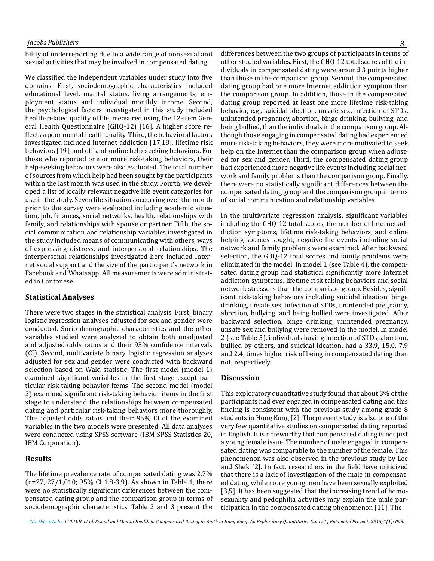bility of underreporting due to a wide range of nonsexual and sexual activities that may be involved in compensated dating.

We classified the independent variables under study into five domains. First, sociodemographic characteristics included educational level, marital status, living arrangements, employment status and individual monthly income. Second, the psychological factors investigated in this study included health-related quality of life, measured using the 12-item General Health Questionnaire (GHQ-12) [16]. A higher score reflects a poor mental health quality. Third, the behavioral factors investigated included Internet addiction [17,18], lifetime risk behaviors [19], and off-and-online help-seeking behaviors. For those who reported one or more risk-taking behaviors, their help-seeking behaviors were also evaluated. The total number of sources from which help had been sought by the participants within the last month was used in the study. Fourth, we developed a list of locally relevant negative life event categories for use in the study. Seven life situations occurring over the month prior to the survey were evaluated including academic situation, job, finances, social networks, health, relationships with family, and relationships with spouse or partner. Fifth, the social communication and relationship variables investigated in the study included means of communicating with others, ways of expressing distress, and interpersonal relationships. The interpersonal relationships investigated here included Internet social support and the size of the participant's network in Facebook and Whatsapp. All measurements were administrated in Cantonese.

#### **Statistical Analyses**

There were two stages in the statistical analysis. First, binary logistic regression analyses adjusted for sex and gender were conducted. Socio-demographic characteristics and the other variables studied were analyzed to obtain both unadjusted and adjusted odds ratios and their 95% confidence intervals (CI). Second, multivariate binary logistic regression analyses adjusted for sex and gender were conducted with backward selection based on Wald statistic. The first model (model 1) examined significant variables in the first stage except particular risk-taking behavior items. The second model (model 2) examined significant risk-taking behavior items in the first stage to understand the relationships between compensated dating and particular risk-taking behaviors more thoroughly. The adjusted odds ratios and their 95% CI of the examined variables in the two models were presented. All data analyses were conducted using SPSS software (IBM SPSS Statistics 20, IBM Corporation).

#### **Results**

The lifetime prevalence rate of compensated dating was 2.7% (n=27, 27/1,010; 95% CI 1.8-3.9). As shown in Table 1, there were no statistically significant differences between the compensated dating group and the comparison group in terms of sociodemographic characteristics. Table 2 and 3 present the

differences between the two groups of participants in terms of other studied variables. First, the GHQ-12 total scores of the individuals in compensated dating were around 3 points higher than those in the comparison group. Second, the compensated dating group had one more Internet addiction symptom than the comparison group. In addition, those in the compensated dating group reported at least one more lifetime risk-taking behavior, e.g., suicidal ideation, unsafe sex, infection of STDs, unintended pregnancy, abortion, binge drinking, bullying, and being bullied, than the individuals in the comparison group. Although those engaging in compensated dating had experienced more risk-taking behaviors, they were more motivated to seek help on the Internet than the comparison group when adjusted for sex and gender. Third, the compensated dating group had experienced more negative life events including social network and family problems than the comparison group. Finally, there were no statistically significant differences between the compensated dating group and the comparison group in terms of social communication and relationship variables.

In the multivariate regression analysis, significant variables including the GHQ-12 total scores, the number of Internet addiction symptoms, lifetime risk-taking behaviors, and online helping sources sought, negative life events including social network and family problems were examined. After backward selection, the GHQ-12 total scores and family problems were eliminated in the model. In model 1 (see Table 4), the compensated dating group had statistical significantly more Internet addiction symptoms, lifetime risk-taking behaviors and social network stressors than the comparison group. Besides, significant risk-taking behaviors including suicidal ideation, binge drinking, unsafe sex, infection of STDs, unintended pregnancy, abortion, bullying, and being bullied were investigated. After backward selection, binge drinking, unintended pregnancy, unsafe sex and bullying were removed in the model. In model 2 (see Table 5), individuals having infection of STDs, abortion, bullied by others, and suicidal ideation, had a 33.9, 15.0, 7.9 and 2.4, times higher risk of being in compensated dating than not, respectively.

#### **Discussion**

This exploratory quantitative study found that about 3% of the participants had ever engaged in compensated dating and this finding is consistent with the previous study among grade 8 students in Hong Kong [2]. The present study is also one of the very few quantitative studies on compensated dating reported in English. It is noteworthy that compensated dating is not just a young female issue. The number of male engaged in compensated dating was comparable to the number of the female. This phenomenon was also observed in the previous study by Lee and Shek [2]. In fact, researchers in the field have criticized that there is a lack of investigation of the male in compensated dating while more young men have been sexually exploited [3,5]. It has been suggested that the increasing trend of homosexuality and pedophilia activities may explain the male participation in the compensated dating phenomenon [11]. The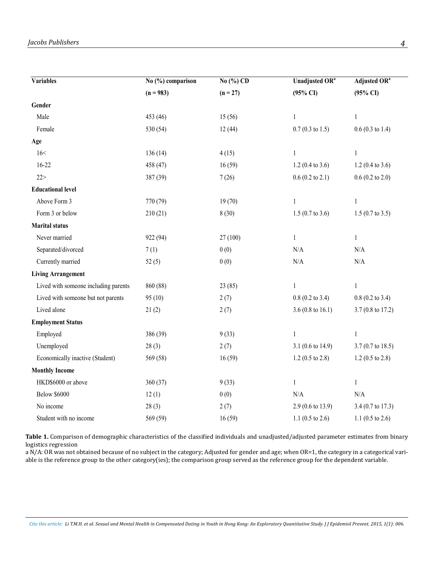| <b>Variables</b>                     | No (%) comparison | No (%) CD  | Unadjusted OR <sup>a</sup>   | Adjusted $\overline{\text{OR}^{\text{a}}}$ |
|--------------------------------------|-------------------|------------|------------------------------|--------------------------------------------|
|                                      | $(n = 983)$       | $(n = 27)$ | $(95\% \text{ CI})$          | $(95\% \text{ CI})$                        |
| Gender                               |                   |            |                              |                                            |
| Male                                 | 453 (46)          | 15(56)     | 1                            | 1                                          |
| Female                               | 530 (54)          | 12(44)     | $0.7(0.3 \text{ to } 1.5)$   | $0.6(0.3 \text{ to } 1.4)$                 |
| Age                                  |                   |            |                              |                                            |
| 16<                                  | 136(14)           | 4(15)      | $\mathbf{1}$                 | $\mathbf{1}$                               |
| $16 - 22$                            | 458 (47)          | 16(59)     | $1.2(0.4 \text{ to } 3.6)$   | $1.2(0.4 \text{ to } 3.6)$                 |
| 22 >                                 | 387 (39)          | 7(26)      | $0.6(0.2 \text{ to } 2.1)$   | $0.6$ (0.2 to 2.0)                         |
| <b>Educational level</b>             |                   |            |                              |                                            |
| Above Form 3                         | 770 (79)          | 19(70)     | $\mathbf{1}$                 | $\mathbf{1}$                               |
| Form 3 or below                      | 210(21)           | 8(30)      | $1.5(0.7 \text{ to } 3.6)$   | $1.5(0.7 \text{ to } 3.5)$                 |
| <b>Marital status</b>                |                   |            |                              |                                            |
| Never married                        | 922 (94)          | 27(100)    | $\mathbf{1}$                 | $\mathbf{1}$                               |
| Separated/divorced                   | 7(1)              | 0(0)       | N/A                          | $\rm N/A$                                  |
| Currently married                    | 52(5)             | 0(0)       | N/A                          | N/A                                        |
| <b>Living Arrangement</b>            |                   |            |                              |                                            |
| Lived with someone including parents | 860 (88)          | 23(85)     | $\mathbf{1}$                 | $\mathbf{1}$                               |
| Lived with someone but not parents   | 95(10)            | 2(7)       | $0.8(0.2 \text{ to } 3.4)$   | $0.8$ (0.2 to 3.4)                         |
| Lived alone                          | 21(2)             | 2(7)       | 3.6 (0.8 to 16.1)            | $3.7(0.8 \text{ to } 17.2)$                |
| <b>Employment Status</b>             |                   |            |                              |                                            |
| Employed                             | 386 (39)          | 9(33)      | $\mathbf{1}$                 | $\mathbf{1}$                               |
| Unemployed                           | 28(3)             | 2(7)       | 3.1 $(0.6 \text{ to } 14.9)$ | $3.7(0.7 \text{ to } 18.5)$                |
| Economically inactive (Student)      | 569 (58)          | 16(59)     | $1.2(0.5 \text{ to } 2.8)$   | $1.2(0.5 \text{ to } 2.8)$                 |
| <b>Monthly Income</b>                |                   |            |                              |                                            |
| HKD\$6000 or above                   | 360(37)           | 9(33)      | $\mathbf{1}$                 | $\mathbf{1}$                               |
| <b>Below \$6000</b>                  | 12(1)             | 0(0)       | $\rm N/A$                    | N/A                                        |
| No income                            | 28(3)             | 2(7)       | $2.9(0.6 \text{ to } 13.9)$  | 3.4 (0.7 to 17.3)                          |
| Student with no income               | 569 (59)          | 16(59)     | 1.1 (0.5 to 2.6)             | 1.1 $(0.5 \text{ to } 2.6)$                |

Table 1. Comparison of demographic characteristics of the classified individuals and unadjusted/adjusted parameter estimates from binary<br>. logistics regression

a N/A: OR was not obtained because of no subject in the category; Adjusted for gender and age; when OR=1, the category in a categorical variable is the reference group to the other category(ies); the comparison group served as the reference group for the dependent variable.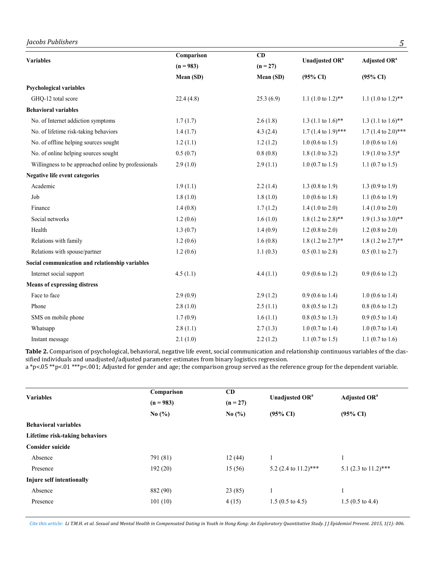# *Jacobs Publishers 5*

|                                                      | Comparison  | CD         |                                |                                 |  |
|------------------------------------------------------|-------------|------------|--------------------------------|---------------------------------|--|
| <b>Variables</b>                                     | $(n = 983)$ | $(n = 27)$ | Unadjusted OR <sup>a</sup>     | Adjusted OR <sup>a</sup>        |  |
|                                                      | Mean (SD)   | Mean (SD)  | $(95\% \text{ CI})$            | $(95\% \text{ CI})$             |  |
| <b>Psychological variables</b>                       |             |            |                                |                                 |  |
| GHQ-12 total score                                   | 22.4(4.8)   | 25.3(6.9)  | 1.1 $(1.0 \text{ to } 1.2)$ ** | 1.1 $(1.0 \text{ to } 1.2)$ **  |  |
| <b>Behavioral variables</b>                          |             |            |                                |                                 |  |
| No. of Internet addiction symptoms                   | 1.7(1.7)    | 2.6(1.8)   | 1.3 (1.1 to $1.6$ )**          | 1.3 (1.1 to $1.6$ )**           |  |
| No. of lifetime risk-taking behaviors                | 1.4(1.7)    | 4.3(2.4)   | $1.7(1.4 \text{ to } 1.9)$ *** | 1.7 $(1.4 \text{ to } 2.0)$ *** |  |
| No. of offline helping sources sought                | 1.2(1.1)    | 1.2(1.2)   | $1.0$ (0.6 to 1.5)             | $1.0$ (0.6 to 1.6)              |  |
| No. of online helping sources sought                 | 0.5(0.7)    | 0.8(0.8)   | $1.8(1.0 \text{ to } 3.2)$     | $1.9(1.0 \text{ to } 3.5)^*$    |  |
| Willingness to be approached online by professionals | 2.9(1.0)    | 2.9(1.1)   | $1.0$ (0.7 to 1.5)             | 1.1 $(0.7 \text{ to } 1.5)$     |  |
| <b>Negative life event categories</b>                |             |            |                                |                                 |  |
| Academic                                             | 1.9(1.1)    | 2.2(1.4)   | 1.3 (0.8 to 1.9)               | 1.3 $(0.9 \text{ to } 1.9)$     |  |
| Job                                                  | 1.8(1.0)    | 1.8(1.0)   | $1.0$ (0.6 to 1.8)             | 1.1 $(0.6 \text{ to } 1.9)$     |  |
| Finance                                              | 1.4(0.8)    | 1.7(1.2)   | $1.4(1.0 \text{ to } 2.0)$     | 1.4 $(1.0 \text{ to } 2.0)$     |  |
| Social networks                                      | 1.2(0.6)    | 1.6(1.0)   | 1.8 (1.2 to $2.8$ )**          | $1.9$ (1.3 to 3.0)**            |  |
| Health                                               | 1.3(0.7)    | 1.4(0.9)   | $1.2(0.8 \text{ to } 2.0)$     | $1.2$ (0.8 to 2.0)              |  |
| Relations with family                                | 1.2(0.6)    | 1.6(0.8)   | $1.8$ (1.2 to 2.7)**           | 1.8 $(1.2 \text{ to } 2.7)$ **  |  |
| Relations with spouse/partner                        | 1.2(0.6)    | 1.1(0.3)   | $0.5(0.1 \text{ to } 2.8)$     | $0.5$ (0.1 to 2.7)              |  |
| Social communication and relationship variables      |             |            |                                |                                 |  |
| Internet social support                              | 4.5(1.1)    | 4.4(1.1)   | $0.9(0.6 \text{ to } 1.2)$     | $0.9(0.6 \text{ to } 1.2)$      |  |
| <b>Means of expressing distress</b>                  |             |            |                                |                                 |  |
| Face to face                                         | 2.9(0.9)    | 2.9(1.2)   | $0.9(0.6 \text{ to } 1.4)$     | $1.0$ (0.6 to 1.4)              |  |
| Phone                                                | 2.8(1.0)    | 2.5(1.1)   | $0.8$ (0.5 to 1.2)             | $0.8$ (0.6 to 1.2)              |  |
| SMS on mobile phone                                  | 1.7(0.9)    | 1.6(1.1)   | $0.8$ (0.5 to 1.3)             | $0.9$ (0.5 to 1.4)              |  |
| Whatsapp                                             | 2.8(1.1)    | 2.7(1.3)   | $1.0$ (0.7 to 1.4)             | $1.0$ (0.7 to 1.4)              |  |
| Instant message                                      | 2.1(1.0)    | 2.2(1.2)   | 1.1 $(0.7 \text{ to } 1.5)$    | 1.1 $(0.7 \text{ to } 1.6)$     |  |

**Table 2.** Comparison of psychological, behavioral, negative life event, social communication and relationship continuous variables of the classified individuals and unadjusted/adjusted parameter estimates from binary logistics regression.

a \*p<.05 \*\*p<.01 \*\*\*p<.001; Adjusted for gender and age; the comparison group served as the reference group for the dependent variable.

| <b>Variables</b>               | Comparison<br>$(n = 983)$ | CD         |                            | <b>Adjusted OR</b> <sup>a</sup> |
|--------------------------------|---------------------------|------------|----------------------------|---------------------------------|
|                                |                           | $(n = 27)$ | Unadjusted OR <sup>a</sup> |                                 |
|                                | No $(\% )$                | No $(\% )$ | $(95\% \text{ CI})$        | $(95\% \text{ CI})$             |
| <b>Behavioral variables</b>    |                           |            |                            |                                 |
| Lifetime risk-taking behaviors |                           |            |                            |                                 |
| <b>Consider suicide</b>        |                           |            |                            |                                 |
| Absence                        | 791 (81)                  | 12(44)     |                            |                                 |
| Presence                       | 192(20)                   | 15(56)     | 5.2 (2.4 to $11.2$ )***    | 5.1 (2.3 to $11.2$ )***         |
| Injure self intentionally      |                           |            |                            |                                 |
| Absence                        | 882 (90)                  | 23(85)     |                            |                                 |
| Presence                       | 101(10)                   | 4(15)      | $1.5(0.5 \text{ to } 4.5)$ | $1.5(0.5 \text{ to } 4.4)$      |
|                                |                           |            |                            |                                 |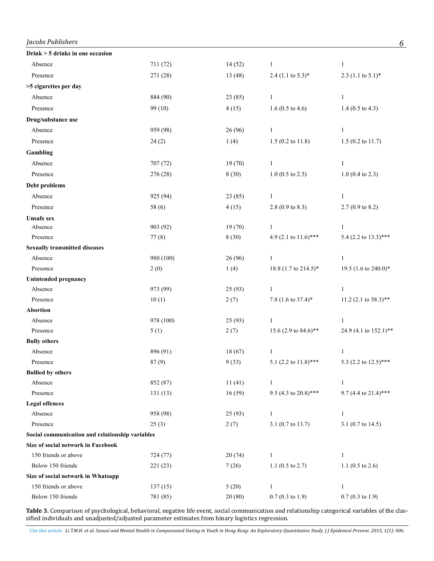| Jacobs Publishers                                          |                     |                 |                               | 6                             |
|------------------------------------------------------------|---------------------|-----------------|-------------------------------|-------------------------------|
| Drink > 5 drinks in one occasion                           |                     |                 |                               |                               |
| Absence                                                    | 711 (72)            | 14(52)          | $\mathbf{1}$                  | $\mathbf{1}$                  |
| Presence                                                   | 271 (28)            | 13 (48)         | 2.4 $(1.1 \text{ to } 5.3)^*$ | 2.3 $(1.1 \text{ to } 5.1)^*$ |
| >5 cigarettes per day                                      |                     |                 |                               |                               |
| Absence                                                    | 884 (90)            | 23(85)          | $\mathbf{1}$                  | $\mathbf{1}$                  |
| Presence                                                   | 99 (10)             | 4(15)           | 1.6 (0.5 to 4.6)              | 1.4 $(0.5 \text{ to } 4.3)$   |
| Drug/substance use                                         |                     |                 |                               |                               |
| Absence                                                    | 959 (98)            | 26 (96)         | $\mathbf{1}$                  | $\mathbf{1}$                  |
| Presence                                                   | 24(2)               | 1(4)            | $1.5$ (0.2 to 11.8)           | $1.5$ (0.2 to 11.7)           |
| Gambling                                                   |                     |                 |                               |                               |
| Absence                                                    | 707 (72)            | 19(70)          | $\mathbf{1}$                  | $\mathbf{1}$                  |
| Presence                                                   | 276 (28)            | 8(30)           | $1.0$ (0.5 to 2.5)            | $1.0$ (0.4 to 2.3)            |
| Debt problems                                              |                     |                 |                               |                               |
| Absence                                                    | 925 (94)            | 23(85)          | $\mathbf{1}$                  | $\mathbf{1}$                  |
| Presence                                                   | 58 (6)              | 4(15)           | 2.8 (0.9 to 8.3)              | $2.7(0.9 \text{ to } 8.2)$    |
| <b>Unsafe sex</b>                                          |                     |                 |                               |                               |
| Absence                                                    | 903 (92)            | 19(70)          | $\mathbf{1}$                  | $\mathbf{1}$                  |
| Presence                                                   | 77(8)               | 8(30)           | 4.9 (2.1 to $11.6$ )***       | 5.4 (2.2 to 13.3)***          |
| <b>Sexually transmitted diseases</b>                       |                     |                 |                               |                               |
| Absence                                                    | 980 (100)           | 26 (96)         | 1                             | 1                             |
| Presence                                                   | 2(0)                | 1(4)            | 18.8 (1.7 to 214.5)*          | 19.5 (1.6 to 240.0)*          |
| <b>Unintended pregnancy</b>                                |                     |                 |                               |                               |
| Absence                                                    | 973 (99)            | 25(93)          | $\mathbf{1}$                  | $\mathbf{1}$                  |
| Presence                                                   | 10(1)               | 2(7)            | 7.8 (1.6 to 37.4)*            | 11.2 (2.1 to $58.3$ )**       |
| <b>Abortion</b>                                            |                     |                 |                               |                               |
| Absence                                                    | 978 (100)           | 25(93)          | $\mathbf{1}$                  | $\mathbf{1}$                  |
| Presence                                                   | 5(1)                | 2(7)            | 15.6 (2.9 to 84.6)**          | 24.9 (4.1 to 152.1)**         |
| <b>Bully others</b>                                        |                     |                 |                               |                               |
| Absence                                                    | 896 (91)            | 18(67)          | $\mathbf{1}$                  | $\mathbf{1}$                  |
| Presence                                                   | 87(9)               | 9(33)           | 5.1 (2.2 to $11.8$ )***       | 5.3 (2.2 to 12.5)***          |
| <b>Bullied by others</b>                                   |                     |                 |                               |                               |
| Absence                                                    | 852 (87)            | 11(41)          | $\mathbf{1}$                  | $\mathbf{1}$                  |
| Presence                                                   | 131(13)             | 16(59)          | 9.5 (4.3 to 20.8)***          | 9.7 (4.4 to 21.4)***          |
| <b>Legal offences</b>                                      |                     |                 |                               |                               |
| Absence                                                    | 958 (98)            | 25(93)          | $\mathbf{1}$                  | $\mathbf{1}$                  |
| Presence                                                   | 25(3)               | 2(7)            | 3.1 (0.7 to 13.7)             | 3.1 (0.7 to 14.5)             |
| Social communication and relationship variables            |                     |                 |                               |                               |
| Size of social network in Facebook                         |                     |                 |                               |                               |
| 150 friends or above                                       | 724 (77)            | 20(74)          | $\mathbf{1}$                  | $\mathbf{1}$                  |
| Below 150 friends                                          | 221 (23)            | 7(26)           | 1.1 $(0.5 \text{ to } 2.7)$   | 1.1 $(0.5 \text{ to } 2.6)$   |
| Size of social network in Whatsapp<br>150 friends or above |                     |                 | $\mathbf{1}$                  | $\mathbf{1}$                  |
| Below 150 friends                                          | 137(15)<br>781 (85) | 5(20)<br>20(80) | $0.7(0.3 \text{ to } 1.9)$    | $0.7(0.3 \text{ to } 1.9)$    |
|                                                            |                     |                 |                               |                               |

**Table 3.** Comparison of psychological, behavioral, negative life event, social communication and relationship categorical variables of the classified individuals and unadjusted/adjusted parameter estimates from binary logistics regression.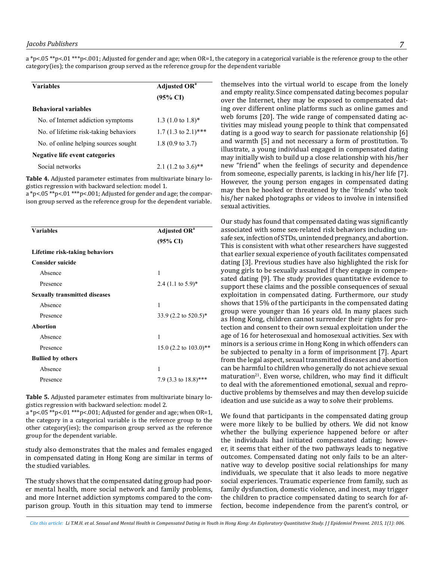$a^*p<.05^{**}p<.01^{***}p<.001$ ; Adjusted for gender and age; when  $OR=1$ , the category in a categorical variable is the reference group to the other category(ies); the comparison group served as the reference group for the dependent variable

| <b>Variables</b>                      | <b>Adjusted OR</b> <sup>a</sup> |  |  |
|---------------------------------------|---------------------------------|--|--|
|                                       | $(95\% \text{ CI})$             |  |  |
| <b>Behavioral variables</b>           |                                 |  |  |
| No. of Internet addiction symptoms    | 1.3 $(1.0 \text{ to } 1.8)^*$   |  |  |
| No. of lifetime risk-taking behaviors | 1.7 $(1.3 \text{ to } 2.1)$ *** |  |  |
| No. of online helping sources sought  | 1.8 $(0.9 \text{ to } 3.7)$     |  |  |
| Negative life event categories        |                                 |  |  |
| Social networks                       | 2.1 $(1.2 \text{ to } 3.6)$ **  |  |  |

**Table 4.** Adjusted parameter estimates from multivariate binary logistics regression with backward selection: model 1.

a \*p<.05 \*\*p<.01 \*\*\*p<.001; Adjusted for gender and age; the comparison group served as the reference group for the dependent variable. 1

| <b>Variables</b>                     | <b>Adjusted OR</b> <sup>a</sup> |  |  |
|--------------------------------------|---------------------------------|--|--|
|                                      | $(95\% \text{ CI})$             |  |  |
| Lifetime risk-taking behaviors       |                                 |  |  |
| <b>Consider suicide</b>              |                                 |  |  |
| Absence                              | 1                               |  |  |
| Presence                             | 2.4 $(1.1 \text{ to } 5.9)^*$   |  |  |
| <b>Sexually transmitted diseases</b> |                                 |  |  |
| Absence                              | 1                               |  |  |
| Presence                             | 33.9 (2.2 to 520.5)*            |  |  |
| <b>Abortion</b>                      |                                 |  |  |
| Absence                              | 1                               |  |  |
| Presence                             | 15.0 (2.2 to $103.0$ )**        |  |  |
| <b>Bullied by others</b>             |                                 |  |  |
| Absence                              | 1                               |  |  |
| Presence                             | 7.9 (3.3 to $18.8$ )***         |  |  |
|                                      |                                 |  |  |

**Table 5.** Adjusted parameter estimates from multivariate binary lo-Figure 3: Adjusted parameter estimates from multivalent selection: model 2.

 $\alpha$ \*p<.05 \*\*p<.01 \*\*\*p<.001; Adjusted for gender and age; when OR=1, We found that participants in the the category in a categorical variable is the reference group to the other category(ies); the comparison group served as the reference group for the dependent variable.

study also demonstrates that the males and females engaged in compensated dating in Hong Kong are similar in terms of the studied variables.

The study shows that the compensated dating group had poorer mental health, more social network and family problems, and more Internet addiction symptoms compared to the comparison group. Youth in this situation may tend to immerse

themselves into the virtual world to escape from the lonely and empty reality. Since compensated dating becomes popular over the Internet, they may be exposed to compensated dating over different online platforms such as online games and web forums [20]. The wide range of compensated dating activities may mislead young people to think that compensated dating is a good way to search for passionate relationship [6] and warmth [5] and not necessary a form of prostitution. To illustrate, a young individual engaged in compensated dating may initially wish to build up a close relationship with his/her new "friend" when the feelings of security and dependence from someone, especially parents, is lacking in his/her life [7]. However, the young person engages in compensated dating ncs regression with backward selection. model 1.<br>'n< 05 \*\*n< 01 \*\*\*n< 001· Adjusted for gender and age· the compar-<br>Una then be hooked or threatened by the 'friends' who took his/her naked photographs or videos to involve in intensified sexual activities.  $p_{\text{start}}$  and age  $p_{\text{start}}$  and ages the comparison group  $\mathcal{L}_{\text{start}}$  for the dependent variable  $\mathcal{L}_{\text{start}}$ 

Our study has found that compensated dating was significantly associated with some sex-related risk behaviors including unsafe sex, infection of STDs, unintended pregnancy, and abortion. This is consistent with what other researchers have suggested that earlier sexual experience of youth facilitates compensated dating [3]. Previous studies have also highlighted the risk for young girls to be sexually assaulted if they engage in compensated dating [9]. The study provides quantitative evidence to support these claims and the possible consequences of sexual exploitation in compensated dating. Furthermore, our study shows that 15% of the participants in the compensated dating group were younger than 16 years old. In many places such as Hong Kong, children cannot surrender their rights for protection and consent to their own sexual exploitation under the age of 16 for heterosexual and homosexual activities. Sex with minors is a serious crime in Hong Kong in which offenders can be subjected to penalty in a form of imprisonment [7]. Apart from the legal aspect, sexual transmitted diseases and abortion can be harmful to children who generally do not achieve sexual maturation<sup>21</sup>. Even worse, children, who may find it difficult to deal with the aforementioned emotional, sexual and repro**thle 5** Adjusted parameter estimates from multivariate binary logical ductive problems by themselves and may then develop suicide ideation and use suicide as a way to solve their problems.

> We found that participants in the compensated dating group were more likely to be bullied by others. We did not know whether the bullying experience happened before or after the individuals had initiated compensated dating; however, it seems that either of the two pathways leads to negative outcomes. Compensated dating not only fails to be an alternative way to develop positive social relationships for many individuals, we speculate that it also leads to more negative social experiences. Traumatic experience from family, such as family dysfunction, domestic violence, and incest, may trigger the children to practice compensated dating to search for affection, become independence from the parent's control, or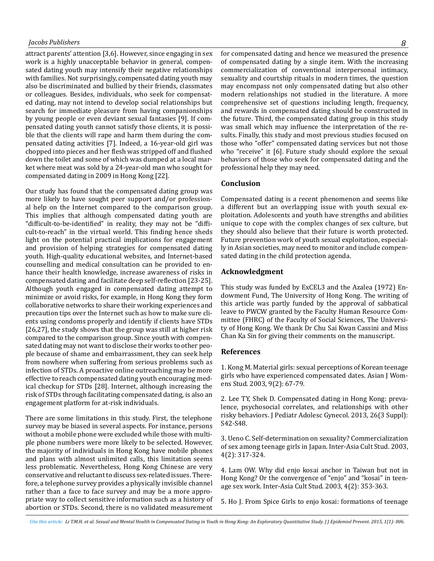## *Jacobs Publishers 8*

attract parents' attention [3,6]. However, since engaging in sex work is a highly unacceptable behavior in general, compensated dating youth may intensify their negative relationships with families. Not surprisingly, compensated dating youth may also be discriminated and bullied by their friends, classmates or colleagues. Besides, individuals, who seek for compensated dating, may not intend to develop social relationships but search for immediate pleasure from having companionships by young people or even deviant sexual fantasies [9]. If compensated dating youth cannot satisfy those clients, it is possible that the clients will rape and harm them during the compensated dating activities [7]. Indeed, a 16-year-old girl was chopped into pieces and her flesh was stripped off and flushed down the toilet and some of which was dumped at a local market where meat was sold by a 24-year-old man who sought for compensated dating in 2009 in Hong Kong [22].

Our study has found that the compensated dating group was more likely to have sought peer support and/or professional help on the Internet compared to the comparison group. This implies that although compensated dating youth are "difficult-to-be-identified" in reality, they may not be "difficult-to-reach" in the virtual world. This finding hence sheds light on the potential practical implications for engagement and provision of helping strategies for compensated dating youth. High-quality educational websites, and Internet-based counselling and medical consultation can be provided to enhance their health knowledge, increase awareness of risks in compensated dating and facilitate deep self-reflection [23-25]. Although youth engaged in compensated dating attempt to minimize or avoid risks, for example, in Hong Kong they form collaborative networks to share their working experiences and precaution tips over the Internet such as how to make sure clients using condoms properly and identify if clients have STDs [26,27], the study shows that the group was still at higher risk compared to the comparison group. Since youth with compensated dating may not want to disclose their works to other people because of shame and embarrassment, they can seek help from nowhere when suffering from serious problems such as infection of STDs. A proactive online outreaching may be more effective to reach compensated dating youth encouraging medical checkup for STDs [28]. Internet, although increasing the risk of STDs through facilitating compensated dating, is also an engagement platform for at-risk individuals.

There are some limitations in this study. First, the telephone survey may be biased in several aspects. For instance, persons without a mobile phone were excluded while those with multiple phone numbers were more likely to be selected. However, the majority of individuals in Hong Kong have mobile phones and plans with almost unlimited calls, this limitation seems less problematic. Nevertheless, Hong Kong Chinese are very conservative and reluctant to discuss sex-related issues. Therefore, a telephone survey provides a physically invisible channel rather than a face to face survey and may be a more appropriate way to collect sensitive information such as a history of abortion or STDs. Second, there is no validated measurement

for compensated dating and hence we measured the presence of compensated dating by a single item. With the increasing commercialization of conventional interpersonal intimacy, sexuality and courtship rituals in modern times, the question may encompass not only compensated dating but also other modern relationships not studied in the literature. A more comprehensive set of questions including length, frequency, and rewards in compensated dating should be constructed in the future. Third, the compensated dating group in this study was small which may influence the interpretation of the results. Finally, this study and most previous studies focused on those who "offer" compensated dating services but not those who "receive" it [6]. Future study should explore the sexual behaviors of those who seek for compensated dating and the professional help they may need.

#### **Conclusion**

Compensated dating is a recent phenomenon and seems like a different but an overlapping issue with youth sexual exploitation. Adolescents and youth have strengths and abilities unique to cope with the complex changes of sex culture, but they should also believe that their future is worth protected. Future prevention work of youth sexual exploitation, especially in Asian societies, may need to monitor and include compensated dating in the child protection agenda.

#### **Acknowledgment**

This study was funded by ExCEL3 and the Azalea (1972) Endowment Fund, The University of Hong Kong. The writing of this article was partly funded by the approval of sabbatical leave to PWCW granted by the Faculty Human Resource Committee (FHRC) of the Faculty of Social Sciences, The University of Hong Kong. We thank Dr Chu Sai Kwan Cassini and Miss Chan Ka Sin for giving their comments on the manuscript.

#### **References**

1. [Kong M. Material girls: sexual perceptions of Korean teenage](http://www.popline.org/node/262910)  [girls who have experienced compensated dates. Asian J Wom](http://www.popline.org/node/262910)[ens Stud. 2003, 9\(2\): 67-79](http://www.popline.org/node/262910).

2[. Lee TY, Shek D. Compensated dating in Hong Kong: preva](http://www.ncbi.nlm.nih.gov/pubmed/23683826)[lence, psychosocial correlates, and relationships with other](http://www.ncbi.nlm.nih.gov/pubmed/23683826) [risky behaviors. J Pediatr Adolesc Gynecol. 2013, 26\(3 Suppl\):](http://www.ncbi.nlm.nih.gov/pubmed/23683826)  [S42-S48.](http://www.ncbi.nlm.nih.gov/pubmed/23683826)

3. [Ueno C. Self-determination on sexuality? Commercialization](http://www.tandfonline.com/doi/abs/10.1080/1464937032000113060)  [of sex among teenage girls in Japan. Inter-Asia Cult Stud. 2003,](http://www.tandfonline.com/doi/abs/10.1080/1464937032000113060) [4\(2\): 317-324](http://www.tandfonline.com/doi/abs/10.1080/1464937032000113060).

4. Lam OW. Why did enjo kosai anchor in Taiwan but not in Hong Kong? Or the convergence of "enjo" and "kosai" in teenage sex work. Inter-Asia Cult Stud. 2003, 4(2): 353-363.

5. Ho J. From Spice Girls to enjo kosai: formations of teenage